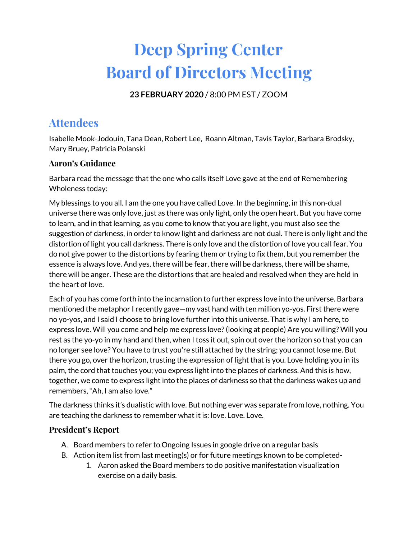# **Deep Spring Center Board of Directors Meeting**

**23 FEBRUARY 2020** / 8:00 PM EST / ZOOM

# **Attendees**

Isabelle Mook-Jodouin, Tana Dean, Robert Lee, Roann Altman, Tavis Taylor, Barbara Brodsky, Mary Bruey, Patricia Polanski

### **Aaron's Guidance**

Barbara read the message that the one who calls itself Love gave at the end of Remembering Wholeness today:

My blessings to you all. I am the one you have called Love. In the beginning, in this non-dual universe there was only love, just as there was only light, only the open heart. But you have come to learn, and in that learning, as you come to know that you are light, you must also see the suggestion of darkness, in order to know light and darkness are not dual. There is only light and the distortion of light you call darkness. There is only love and the distortion of love you call fear. You do not give power to the distortions by fearing them or trying to fix them, but you remember the essence is always love. And yes, there will be fear, there will be darkness, there will be shame, there will be anger. These are the distortions that are healed and resolved when they are held in the heart of love.

Each of you has come forth into the incarnation to further express love into the universe. Barbara mentioned the metaphor I recently gave—my vast hand with ten million yo-yos. First there were no yo-yos, and I said I choose to bring love further into this universe. That is why I am here, to express love. Will you come and help me express love?(looking at people) Are you willing? Will you rest as the yo-yo in my hand and then, when I toss it out, spin out over the horizon so that you can no longer see love? You have to trust you're still attached by the string; you cannot lose me. But there you go, over the horizon, trusting the expression of light that is you. Love holding you in its palm, the cord that touches you; you express light into the places of darkness. And this is how, together, we come to express light into the places of darkness so that the darkness wakes up and remembers, "Ah, I am also love."

The darkness thinks it's dualistic with love. But nothing ever was separate from love, nothing. You are teaching the darkness to remember what it is: love. Love. Love.

## **President's Report**

- A. Board members to refer to Ongoing Issues in google drive on a regular basis
- B. Action item list from last meeting(s) or for future meetings known to be completed-
	- 1. Aaron asked the Board members to do positive manifestation visualization exercise on a daily basis.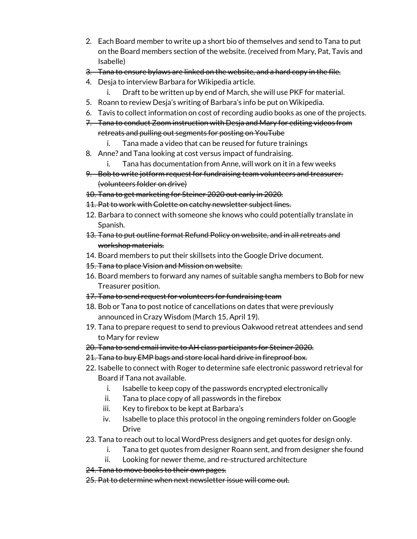- 2. Each Board member to write up a short bio of themselves and send to Tana to put on the Board members section of the website. (received from Mary, Pat, Tavis and Isabelle)
- 3. Tana to ensure bylaws are linked on the website, and a hard copy in the file.
- 4. Desja to interview Barbara for Wikipedia article.
	- i. Draft to be written up by end of March, she will use PKF for material.
- 5. Roann to review Desja's writing of Barbara's info be put on Wikipedia.
- 6. Tavis to collect information on cost of recording audio books as one of the projects.
- 7. Tana to conduct Zoom instruction with Desja and Mary for editing videos from retreats and pulling out segments for posting on YouTube
	- i. Tana made a video that can be reused for future trainings
- 8. Anne? and Tana looking at cost versus impact of fundraising.
	- i. Tana has documentation from Anne, will work on it in a few weeks
- 9. Bob to write jotform request for fundraising team volunteers and treasurer. (volunteers folder on drive)
- 10. Tana to get marketing for Steiner 2020 out early in 2020.
- 11. Pat to work with Colette on catchy newsletter subject lines.
- 12. Barbara to connect with someone she knows who could potentially translate in Spanish.
- 13. Tana to put outline format Refund Policy on website, and in all retreats and workshop materials.
- 14. Board members to put their skillsets into the Google Drive document.
- 15. Tana to place Vision and Mission on website.
- 16. Board members to forward any names of suitable sangha members to Bob for new Treasurer position.
- 17. Tana to send request for volunteers for fundraising team
- 18. Bob or Tana to post notice of cancellations on dates that were previously announced in Crazy Wisdom (March 15, April 19).
- 19. Tana to prepare request to send to previous Oakwood retreat attendees and send to Mary for review
- 20. Tana to send email invite to AH class participants for Steiner 2020.
- 21. Tana to buy EMP bags and store local hard drive in fireproof box.
- 22. Isabelle to connect with Roger to determine safe electronic password retrieval for Board if Tana not available.
	- i. Isabelle to keep copy of the passwords encrypted electronically
	- ii. Tana to place copy of all passwords in the firebox
	- iii. Key to firebox to be kept at Barbara's
	- iv. Isabelle to place this protocol in the ongoing reminders folder on Google Drive
- 23. Tana to reach out to local WordPress designers and get quotes for design only.
	- i. Tana to get quotes from designer Roann sent, and from designer she found
	- ii. Looking for newer theme, and re-structured architecture
- 24. Tana to move books to their own pages.
- 25. Pat to determine when next newsletter issue will come out.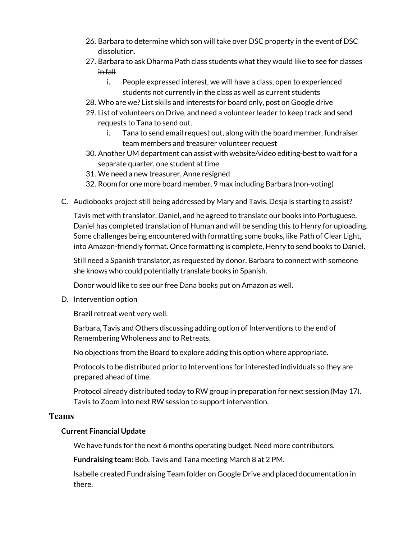- 26. Barbara to determine which son will take over DSC property in the event of DSC dissolution.
- 27. Barbara to ask Dharma Path class students what they would like to see for classes in fall
	- i. People expressed interest, we will have a class, open to experienced students not currently in the class as well as current students
- 28. Who are we? List skills and interests for board only, post on Google drive
- 29. List of volunteers on Drive, and need a volunteer leader to keep track and send requests to Tana to send out.
	- i. Tana to send email request out, along with the board member, fundraiser team members and treasurer volunteer request
- 30. Another UM department can assist with website/video editing-best to wait for a separate quarter, one student at time
- 31. We need a new treasurer, Anne resigned
- 32. Room for one more board member, 9 max including Barbara (non-voting)
- C. Audiobooks project still being addressed by Mary and Tavis. Desja is starting to assist?

Tavis met with translator, Daniel, and he agreed to translate our books into Portuguese. Daniel has completed translation of Human and will be sending this to Henry for uploading. Some challenges being encountered with formatting some books, like Path of Clear Light, into Amazon-friendly format. Once formatting is complete, Henry to send books to Daniel.

Still need a Spanish translator, as requested by donor. Barbara to connect with someone she knows who could potentially translate books in Spanish.

Donor would like to see our free Dana books put on Amazon as well.

D. Intervention option

Brazil retreat went very well.

Barbara, Tavis and Others discussing adding option of Interventions to the end of Remembering Wholeness and to Retreats.

No objections from the Board to explore adding this option where appropriate.

Protocols to be distributed prior to Interventions for interested individuals so they are prepared ahead of time.

Protocol already distributed today to RW group in preparation for next session (May 17). Tavis to Zoom into next RW session to support intervention.

### **Teams**

### **Current Financial Update**

We have funds for the next 6 months operating budget. Need more contributors.

**Fundraising team:** Bob, Tavis and Tana meeting March 8 at 2 PM.

Isabelle created Fundraising Team folder on Google Drive and placed documentation in there.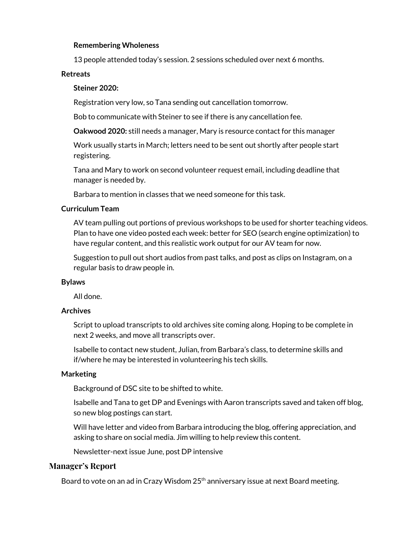#### **Remembering Wholeness**

13 people attended today's session. 2 sessions scheduled over next 6 months.

#### **Retreats**

#### **Steiner 2020:**

Registration very low, so Tana sending out cancellation tomorrow.

Bob to communicate with Steiner to see if there is any cancellation fee.

**Oakwood 2020:** still needs a manager, Mary is resource contact for this manager

Work usually starts in March; letters need to be sent out shortly after people start registering.

Tana and Mary to work on second volunteer request email, including deadline that manager is needed by.

Barbara to mention in classes that we need someone for this task.

#### **Curriculum Team**

AV team pulling out portions of previous workshops to be used for shorter teaching videos. Plan to have one video posted each week: better for SEO (search engine optimization) to have regular content, and this realistic work output for our AV team for now.

Suggestion to pull out short audios from past talks, and post as clips on Instagram, on a regular basis to draw people in.

#### **Bylaws**

All done.

#### **Archives**

Script to upload transcripts to old archives site coming along. Hoping to be complete in next 2 weeks, and move all transcripts over.

Isabelle to contact new student, Julian, from Barbara's class, to determine skills and if/where he may be interested in volunteering his tech skills.

#### **Marketing**

Background of DSC site to be shifted to white.

Isabelle and Tana to get DP and Evenings with Aaron transcripts saved and taken off blog, so new blog postings can start.

Will have letter and video from Barbara introducing the blog, offering appreciation, and asking to share on social media. Jim willing to help review this content.

Newsletter-next issue June, post DP intensive

#### **Manager's Report**

Board to vote on an ad in Crazy Wisdom 25<sup>th</sup> anniversary issue at next Board meeting.